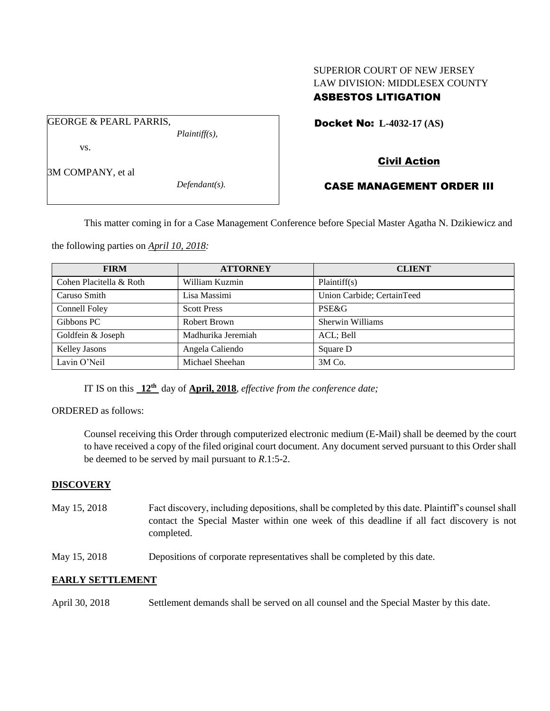### SUPERIOR COURT OF NEW JERSEY LAW DIVISION: MIDDLESEX COUNTY ASBESTOS LITIGATION

Docket No: **L-4032-17 (AS)** 

vs.

GEORGE & PEARL PARRIS,

3M COMPANY, et al

*Defendant(s).*

*Plaintiff(s),*

# Civil Action

## CASE MANAGEMENT ORDER III

This matter coming in for a Case Management Conference before Special Master Agatha N. Dzikiewicz and

the following parties on *April 10, 2018:*

| <b>FIRM</b>             | <b>ATTORNEY</b>    | <b>CLIENT</b>              |
|-------------------------|--------------------|----------------------------|
| Cohen Placitella & Roth | William Kuzmin     | Plaintiff(s)               |
| Caruso Smith            | Lisa Massimi       | Union Carbide; CertainTeed |
| Connell Foley           | <b>Scott Press</b> | PSE&G                      |
| Gibbons PC              | Robert Brown       | Sherwin Williams           |
| Goldfein & Joseph       | Madhurika Jeremiah | ACL; Bell                  |
| <b>Kelley Jasons</b>    | Angela Caliendo    | Square D                   |
| Lavin O'Neil            | Michael Sheehan    | 3M Co.                     |

IT IS on this  $12^{\text{th}}$  day of **April, 2018**, *effective from the conference date*;

#### ORDERED as follows:

Counsel receiving this Order through computerized electronic medium (E-Mail) shall be deemed by the court to have received a copy of the filed original court document. Any document served pursuant to this Order shall be deemed to be served by mail pursuant to *R*.1:5-2.

#### **DISCOVERY**

- May 15, 2018 Fact discovery, including depositions, shall be completed by this date. Plaintiff's counsel shall contact the Special Master within one week of this deadline if all fact discovery is not completed.
- May 15, 2018 Depositions of corporate representatives shall be completed by this date.

#### **EARLY SETTLEMENT**

April 30, 2018 Settlement demands shall be served on all counsel and the Special Master by this date.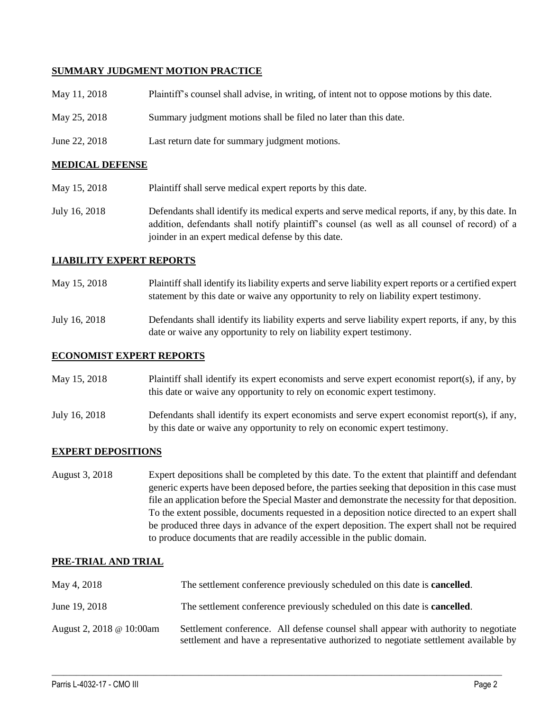#### **SUMMARY JUDGMENT MOTION PRACTICE**

| May 11, 2018  | Plaintiff's counsel shall advise, in writing, of intent not to oppose motions by this date. |
|---------------|---------------------------------------------------------------------------------------------|
| May 25, 2018  | Summary judgment motions shall be filed no later than this date.                            |
| June 22, 2018 | Last return date for summary judgment motions.                                              |

#### **MEDICAL DEFENSE**

- May 15, 2018 Plaintiff shall serve medical expert reports by this date.
- July 16, 2018 Defendants shall identify its medical experts and serve medical reports, if any, by this date. In addition, defendants shall notify plaintiff's counsel (as well as all counsel of record) of a joinder in an expert medical defense by this date.

#### **LIABILITY EXPERT REPORTS**

- May 15, 2018 Plaintiff shall identify its liability experts and serve liability expert reports or a certified expert statement by this date or waive any opportunity to rely on liability expert testimony.
- July 16, 2018 Defendants shall identify its liability experts and serve liability expert reports, if any, by this date or waive any opportunity to rely on liability expert testimony.

#### **ECONOMIST EXPERT REPORTS**

| May 15, 2018 | Plaintiff shall identify its expert economists and serve expert economist report(s), if any, by |
|--------------|-------------------------------------------------------------------------------------------------|
|              | this date or waive any opportunity to rely on economic expert testimony.                        |
|              |                                                                                                 |

July 16, 2018 Defendants shall identify its expert economists and serve expert economist report(s), if any, by this date or waive any opportunity to rely on economic expert testimony.

#### **EXPERT DEPOSITIONS**

August 3, 2018 Expert depositions shall be completed by this date. To the extent that plaintiff and defendant generic experts have been deposed before, the parties seeking that deposition in this case must file an application before the Special Master and demonstrate the necessity for that deposition. To the extent possible, documents requested in a deposition notice directed to an expert shall be produced three days in advance of the expert deposition. The expert shall not be required to produce documents that are readily accessible in the public domain.

#### **PRE-TRIAL AND TRIAL**

| May 4, 2018              | The settlement conference previously scheduled on this date is <b>cancelled</b> .                                                                                           |
|--------------------------|-----------------------------------------------------------------------------------------------------------------------------------------------------------------------------|
| June 19, 2018            | The settlement conference previously scheduled on this date is <b>cancelled</b> .                                                                                           |
| August 2, 2018 @ 10:00am | Settlement conference. All defense counsel shall appear with authority to negotiate<br>settlement and have a representative authorized to negotiate settlement available by |

 $\_$  ,  $\_$  ,  $\_$  ,  $\_$  ,  $\_$  ,  $\_$  ,  $\_$  ,  $\_$  ,  $\_$  ,  $\_$  ,  $\_$  ,  $\_$  ,  $\_$  ,  $\_$  ,  $\_$  ,  $\_$  ,  $\_$  ,  $\_$  ,  $\_$  ,  $\_$  ,  $\_$  ,  $\_$  ,  $\_$  ,  $\_$  ,  $\_$  ,  $\_$  ,  $\_$  ,  $\_$  ,  $\_$  ,  $\_$  ,  $\_$  ,  $\_$  ,  $\_$  ,  $\_$  ,  $\_$  ,  $\_$  ,  $\_$  ,